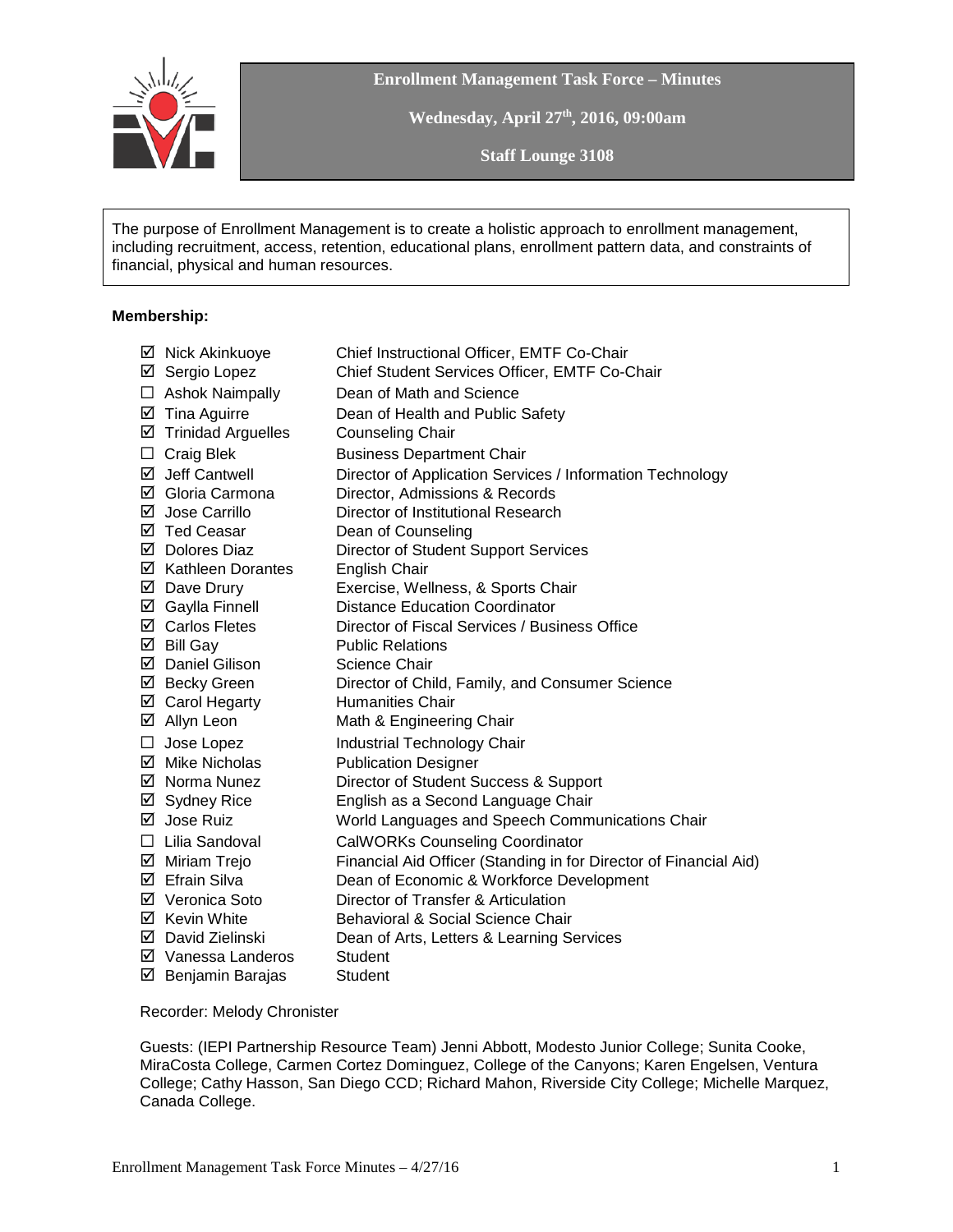

**Enrollment Management Task Force – Minutes**

**Wednesday, April 27th, 2016, 09:00am**

**Staff Lounge 3108**

The purpose of Enrollment Management is to create a holistic approach to enrollment management, including recruitment, access, retention, educational plans, enrollment pattern data, and constraints of financial, physical and human resources.

## **Membership:**

|        | ☑ Nick Akinkuoye               | Chief Instructional Officer, EMTF Co-Chair                        |
|--------|--------------------------------|-------------------------------------------------------------------|
|        | ☑ Sergio Lopez                 | Chief Student Services Officer, EMTF Co-Chair                     |
|        | $\Box$ Ashok Naimpally         | Dean of Math and Science                                          |
|        | $\boxtimes$ Tina Aguirre       | Dean of Health and Public Safety                                  |
|        | $\boxtimes$ Trinidad Arguelles | <b>Counseling Chair</b>                                           |
| □      | <b>Craig Blek</b>              | <b>Business Department Chair</b>                                  |
|        | $\boxtimes$ Jeff Cantwell      | Director of Application Services / Information Technology         |
|        | ☑ Gloria Carmona               | Director, Admissions & Records                                    |
|        | ⊠ Jose Carrillo                | Director of Institutional Research                                |
|        | ☑ Ted Ceasar                   | Dean of Counseling                                                |
|        | ☑ Dolores Diaz                 | <b>Director of Student Support Services</b>                       |
|        | ☑ Kathleen Dorantes            | English Chair                                                     |
|        | ☑ Dave Drury                   | Exercise, Wellness, & Sports Chair                                |
|        | ☑ Gaylla Finnell               | <b>Distance Education Coordinator</b>                             |
|        | ☑ Carlos Fletes                | Director of Fiscal Services / Business Office                     |
|        | $\boxtimes$ Bill Gay           | <b>Public Relations</b>                                           |
|        | ☑ Daniel Gilison               | Science Chair                                                     |
|        | ⊠ Becky Green                  | Director of Child, Family, and Consumer Science                   |
|        | ☑ Carol Hegarty                | <b>Humanities Chair</b>                                           |
|        | ☑ Allyn Leon                   | Math & Engineering Chair                                          |
| $\Box$ | Jose Lopez                     | <b>Industrial Technology Chair</b>                                |
|        | ☑ Mike Nicholas                | <b>Publication Designer</b>                                       |
|        | ☑ Norma Nunez                  | Director of Student Success & Support                             |
|        | ⊠ Sydney Rice                  | English as a Second Language Chair                                |
|        | ⊠ Jose Ruiz                    | World Languages and Speech Communications Chair                   |
|        | $\Box$ Lilia Sandoval          | <b>CalWORKs Counseling Coordinator</b>                            |
|        | ☑ Miriam Trejo                 | Financial Aid Officer (Standing in for Director of Financial Aid) |
|        | ☑ Efrain Silva                 | Dean of Economic & Workforce Development                          |
|        | ☑ Veronica Soto                | Director of Transfer & Articulation                               |
|        | ⊠ Kevin White                  | <b>Behavioral &amp; Social Science Chair</b>                      |
|        | ☑ David Zielinski              | Dean of Arts, Letters & Learning Services                         |
|        | ☑ Vanessa Landeros             | Student                                                           |
|        | $\boxtimes$ Benjamin Barajas   | <b>Student</b>                                                    |
|        |                                |                                                                   |

## Recorder: Melody Chronister

Guests: (IEPI Partnership Resource Team) Jenni Abbott, Modesto Junior College; Sunita Cooke, MiraCosta College, Carmen Cortez Dominguez, College of the Canyons; Karen Engelsen, Ventura College; Cathy Hasson, San Diego CCD; Richard Mahon, Riverside City College; Michelle Marquez, Canada College.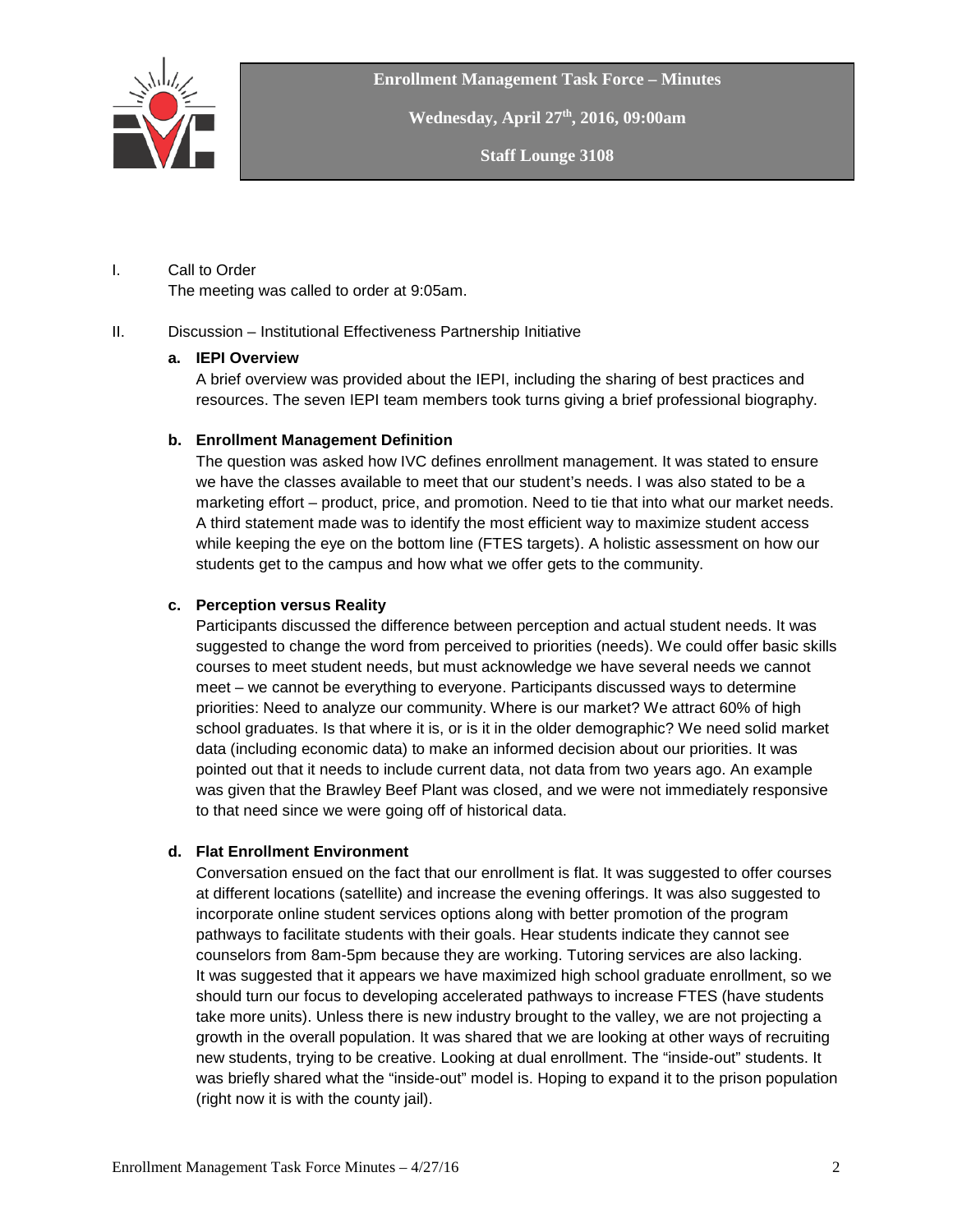

**Enrollment Management Task Force – Minutes**

**Wednesday, April 27th, 2016, 09:00am**

**Staff Lounge 3108**

#### I. Call to Order The meeting was called to order at 9:05am.

## II. Discussion – Institutional Effectiveness Partnership Initiative

## **a. IEPI Overview**

A brief overview was provided about the IEPI, including the sharing of best practices and resources. The seven IEPI team members took turns giving a brief professional biography.

## **b. Enrollment Management Definition**

The question was asked how IVC defines enrollment management. It was stated to ensure we have the classes available to meet that our student's needs. I was also stated to be a marketing effort – product, price, and promotion. Need to tie that into what our market needs. A third statement made was to identify the most efficient way to maximize student access while keeping the eye on the bottom line (FTES targets). A holistic assessment on how our students get to the campus and how what we offer gets to the community.

## **c. Perception versus Reality**

Participants discussed the difference between perception and actual student needs. It was suggested to change the word from perceived to priorities (needs). We could offer basic skills courses to meet student needs, but must acknowledge we have several needs we cannot meet – we cannot be everything to everyone. Participants discussed ways to determine priorities: Need to analyze our community. Where is our market? We attract 60% of high school graduates. Is that where it is, or is it in the older demographic? We need solid market data (including economic data) to make an informed decision about our priorities. It was pointed out that it needs to include current data, not data from two years ago. An example was given that the Brawley Beef Plant was closed, and we were not immediately responsive to that need since we were going off of historical data.

## **d. Flat Enrollment Environment**

Conversation ensued on the fact that our enrollment is flat. It was suggested to offer courses at different locations (satellite) and increase the evening offerings. It was also suggested to incorporate online student services options along with better promotion of the program pathways to facilitate students with their goals. Hear students indicate they cannot see counselors from 8am-5pm because they are working. Tutoring services are also lacking. It was suggested that it appears we have maximized high school graduate enrollment, so we should turn our focus to developing accelerated pathways to increase FTES (have students take more units). Unless there is new industry brought to the valley, we are not projecting a growth in the overall population. It was shared that we are looking at other ways of recruiting new students, trying to be creative. Looking at dual enrollment. The "inside-out" students. It was briefly shared what the "inside-out" model is. Hoping to expand it to the prison population (right now it is with the county jail).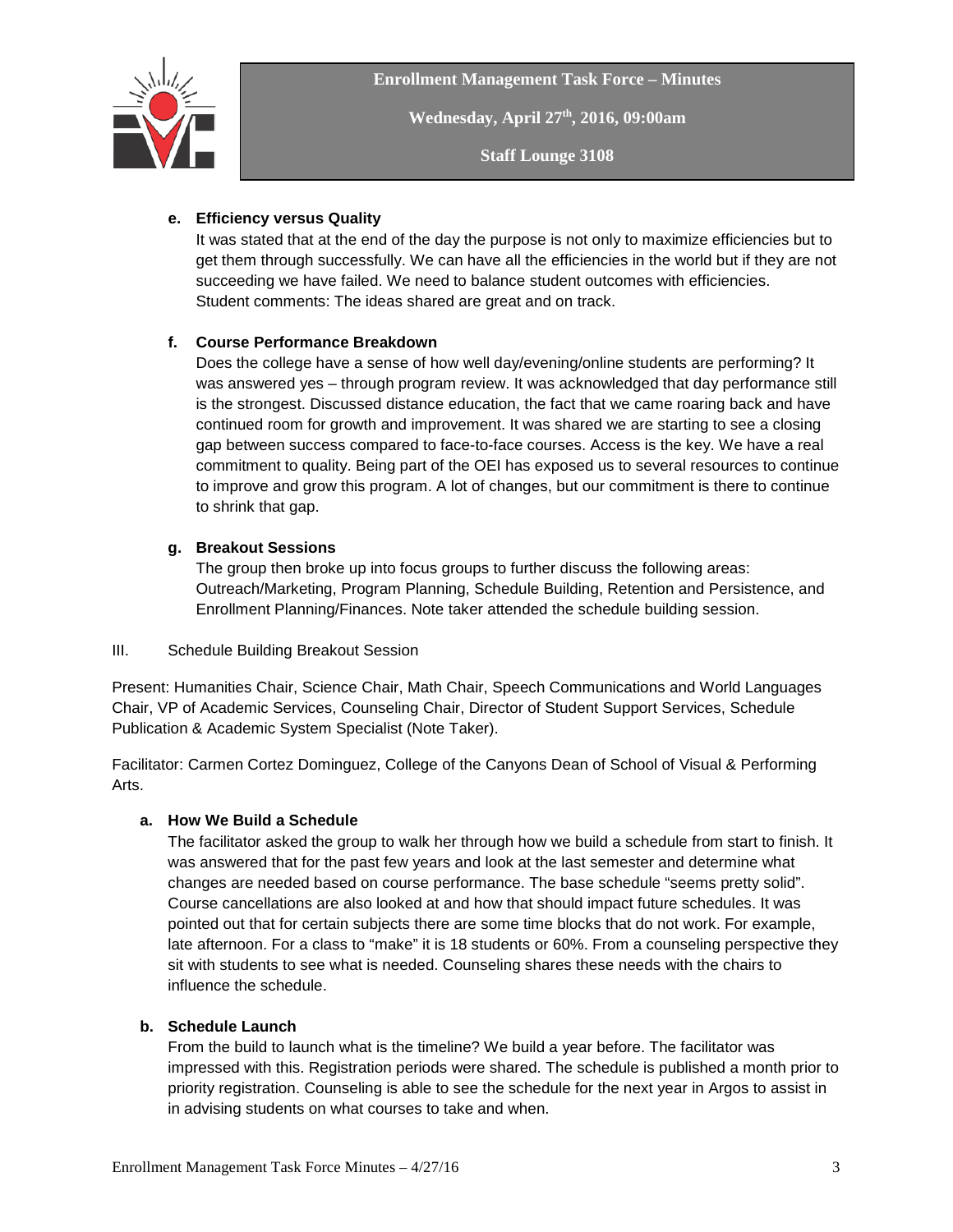

**Wednesday, April 27th, 2016, 09:00am**

**Staff Lounge 3108**

## **e. Efficiency versus Quality**

It was stated that at the end of the day the purpose is not only to maximize efficiencies but to get them through successfully. We can have all the efficiencies in the world but if they are not succeeding we have failed. We need to balance student outcomes with efficiencies. Student comments: The ideas shared are great and on track.

## **f. Course Performance Breakdown**

Does the college have a sense of how well day/evening/online students are performing? It was answered yes – through program review. It was acknowledged that day performance still is the strongest. Discussed distance education, the fact that we came roaring back and have continued room for growth and improvement. It was shared we are starting to see a closing gap between success compared to face-to-face courses. Access is the key. We have a real commitment to quality. Being part of the OEI has exposed us to several resources to continue to improve and grow this program. A lot of changes, but our commitment is there to continue to shrink that gap.

## **g. Breakout Sessions**

The group then broke up into focus groups to further discuss the following areas: Outreach/Marketing, Program Planning, Schedule Building, Retention and Persistence, and Enrollment Planning/Finances. Note taker attended the schedule building session.

## III. Schedule Building Breakout Session

Present: Humanities Chair, Science Chair, Math Chair, Speech Communications and World Languages Chair, VP of Academic Services, Counseling Chair, Director of Student Support Services, Schedule Publication & Academic System Specialist (Note Taker).

Facilitator: Carmen Cortez Dominguez, College of the Canyons Dean of School of Visual & Performing Arts.

# **a. How We Build a Schedule**

The facilitator asked the group to walk her through how we build a schedule from start to finish. It was answered that for the past few years and look at the last semester and determine what changes are needed based on course performance. The base schedule "seems pretty solid". Course cancellations are also looked at and how that should impact future schedules. It was pointed out that for certain subjects there are some time blocks that do not work. For example, late afternoon. For a class to "make" it is 18 students or 60%. From a counseling perspective they sit with students to see what is needed. Counseling shares these needs with the chairs to influence the schedule.

## **b. Schedule Launch**

From the build to launch what is the timeline? We build a year before. The facilitator was impressed with this. Registration periods were shared. The schedule is published a month prior to priority registration. Counseling is able to see the schedule for the next year in Argos to assist in in advising students on what courses to take and when.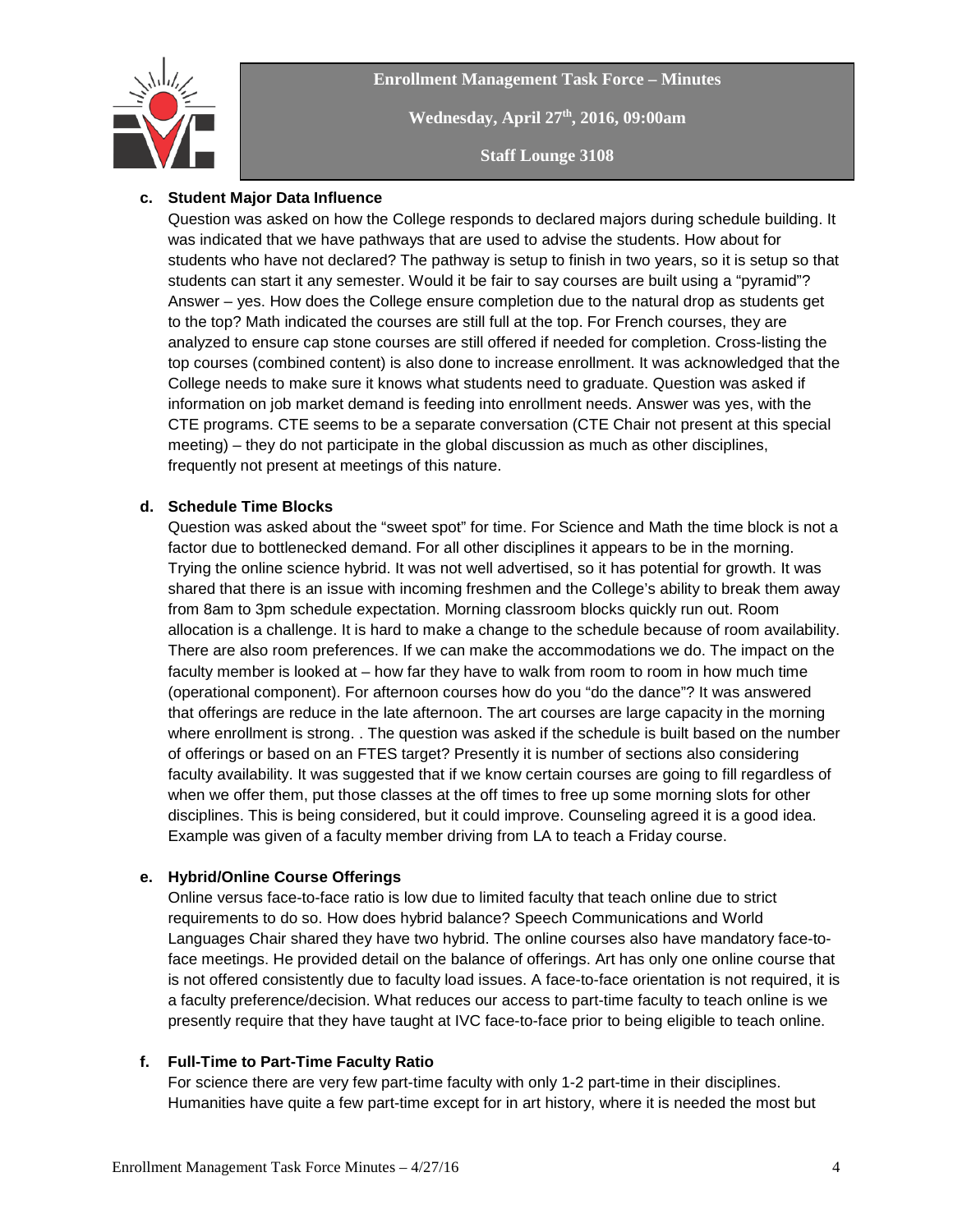

**Enrollment Management Task Force – Minutes Wednesday, April 27th, 2016, 09:00am Staff Lounge 3108**

## **c. Student Major Data Influence**

Question was asked on how the College responds to declared majors during schedule building. It was indicated that we have pathways that are used to advise the students. How about for students who have not declared? The pathway is setup to finish in two years, so it is setup so that students can start it any semester. Would it be fair to say courses are built using a "pyramid"? Answer – yes. How does the College ensure completion due to the natural drop as students get to the top? Math indicated the courses are still full at the top. For French courses, they are analyzed to ensure cap stone courses are still offered if needed for completion. Cross-listing the top courses (combined content) is also done to increase enrollment. It was acknowledged that the College needs to make sure it knows what students need to graduate. Question was asked if information on job market demand is feeding into enrollment needs. Answer was yes, with the CTE programs. CTE seems to be a separate conversation (CTE Chair not present at this special meeting) – they do not participate in the global discussion as much as other disciplines, frequently not present at meetings of this nature.

## **d. Schedule Time Blocks**

Question was asked about the "sweet spot" for time. For Science and Math the time block is not a factor due to bottlenecked demand. For all other disciplines it appears to be in the morning. Trying the online science hybrid. It was not well advertised, so it has potential for growth. It was shared that there is an issue with incoming freshmen and the College's ability to break them away from 8am to 3pm schedule expectation. Morning classroom blocks quickly run out. Room allocation is a challenge. It is hard to make a change to the schedule because of room availability. There are also room preferences. If we can make the accommodations we do. The impact on the faculty member is looked at – how far they have to walk from room to room in how much time (operational component). For afternoon courses how do you "do the dance"? It was answered that offerings are reduce in the late afternoon. The art courses are large capacity in the morning where enrollment is strong. . The question was asked if the schedule is built based on the number of offerings or based on an FTES target? Presently it is number of sections also considering faculty availability. It was suggested that if we know certain courses are going to fill regardless of when we offer them, put those classes at the off times to free up some morning slots for other disciplines. This is being considered, but it could improve. Counseling agreed it is a good idea. Example was given of a faculty member driving from LA to teach a Friday course.

## **e. Hybrid/Online Course Offerings**

Online versus face-to-face ratio is low due to limited faculty that teach online due to strict requirements to do so. How does hybrid balance? Speech Communications and World Languages Chair shared they have two hybrid. The online courses also have mandatory face-toface meetings. He provided detail on the balance of offerings. Art has only one online course that is not offered consistently due to faculty load issues. A face-to-face orientation is not required, it is a faculty preference/decision. What reduces our access to part-time faculty to teach online is we presently require that they have taught at IVC face-to-face prior to being eligible to teach online.

#### **f. Full-Time to Part-Time Faculty Ratio**

For science there are very few part-time faculty with only 1-2 part-time in their disciplines. Humanities have quite a few part-time except for in art history, where it is needed the most but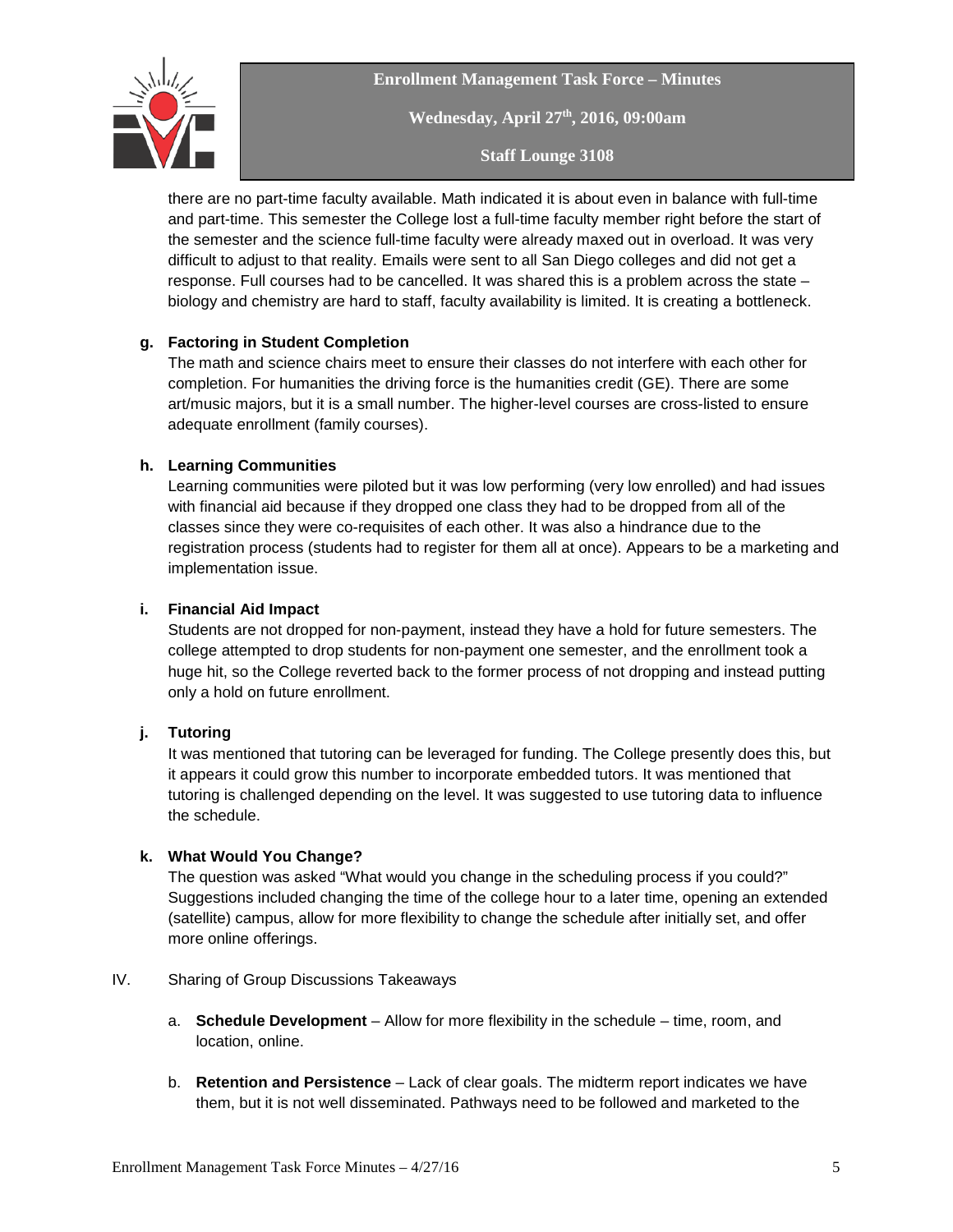

**Enrollment Management Task Force – Minutes Wednesday, April 27th, 2016, 09:00am Staff Lounge 3108**

there are no part-time faculty available. Math indicated it is about even in balance with full-time and part-time. This semester the College lost a full-time faculty member right before the start of the semester and the science full-time faculty were already maxed out in overload. It was very difficult to adjust to that reality. Emails were sent to all San Diego colleges and did not get a response. Full courses had to be cancelled. It was shared this is a problem across the state – biology and chemistry are hard to staff, faculty availability is limited. It is creating a bottleneck.

## **g. Factoring in Student Completion**

The math and science chairs meet to ensure their classes do not interfere with each other for completion. For humanities the driving force is the humanities credit (GE). There are some art/music majors, but it is a small number. The higher-level courses are cross-listed to ensure adequate enrollment (family courses).

## **h. Learning Communities**

Learning communities were piloted but it was low performing (very low enrolled) and had issues with financial aid because if they dropped one class they had to be dropped from all of the classes since they were co-requisites of each other. It was also a hindrance due to the registration process (students had to register for them all at once). Appears to be a marketing and implementation issue.

#### **i. Financial Aid Impact**

Students are not dropped for non-payment, instead they have a hold for future semesters. The college attempted to drop students for non-payment one semester, and the enrollment took a huge hit, so the College reverted back to the former process of not dropping and instead putting only a hold on future enrollment.

## **j. Tutoring**

It was mentioned that tutoring can be leveraged for funding. The College presently does this, but it appears it could grow this number to incorporate embedded tutors. It was mentioned that tutoring is challenged depending on the level. It was suggested to use tutoring data to influence the schedule.

## **k. What Would You Change?**

The question was asked "What would you change in the scheduling process if you could?" Suggestions included changing the time of the college hour to a later time, opening an extended (satellite) campus, allow for more flexibility to change the schedule after initially set, and offer more online offerings.

#### IV. Sharing of Group Discussions Takeaways

- a. **Schedule Development** Allow for more flexibility in the schedule time, room, and location, online.
- b. **Retention and Persistence** Lack of clear goals. The midterm report indicates we have them, but it is not well disseminated. Pathways need to be followed and marketed to the